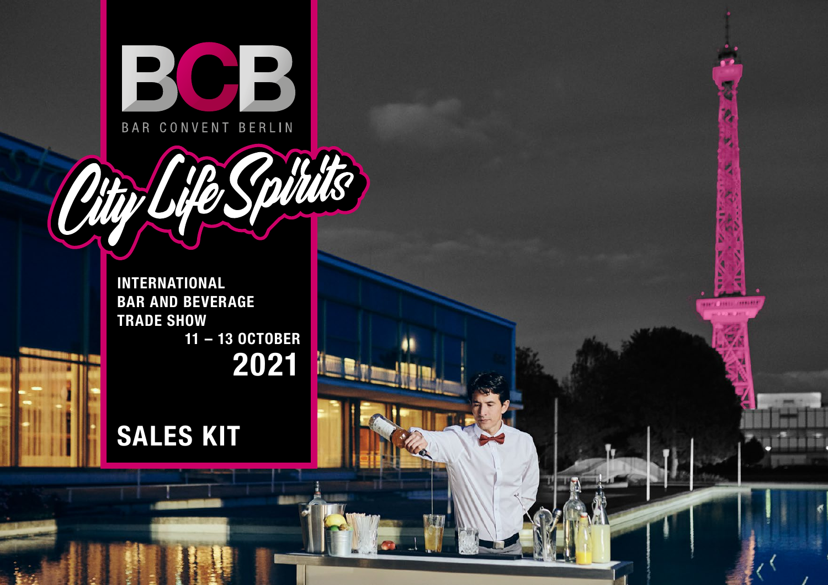

**INTERNATIONAL BAR AND BEVERAGE TRADE SHOW 11 – 13 OCTOBER 2021**

**London** 

# **SALES KIT**

Othyl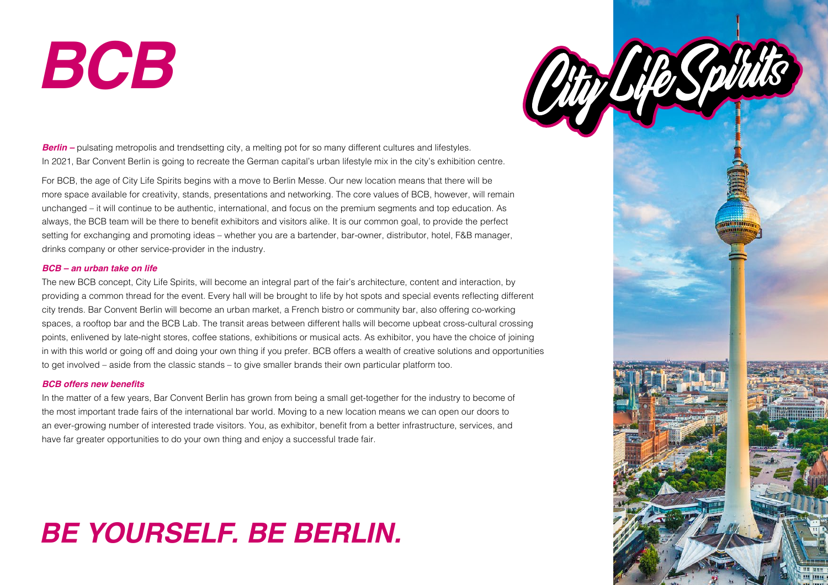# *BCB*



*Berlin –* pulsating metropolis and trendsetting city, a melting pot for so many different cultures and lifestyles. In 2021, Bar Convent Berlin is going to recreate the German capital's urban lifestyle mix in the city's exhibition centre.

For BCB, the age of City Life Spirits begins with a move to Berlin Messe. Our new location means that there will be more space available for creativity, stands, presentations and networking. The core values of BCB, however, will remain unchanged – it will continue to be authentic, international, and focus on the premium segments and top education. As always, the BCB team will be there to benefit exhibitors and visitors alike. It is our common goal, to provide the perfect setting for exchanging and promoting ideas – whether you are a bartender, bar-owner, distributor, hotel, F&B manager, drinks company or other service-provider in the industry.

#### *BCB – an urban take on life*

The new BCB concept, City Life Spirits, will become an integral part of the fair's architecture, content and interaction, by providing a common thread for the event. Every hall will be brought to life by hot spots and special events reflecting different city trends. Bar Convent Berlin will become an urban market, a French bistro or community bar, also offering co-working spaces, a rooftop bar and the BCB Lab. The transit areas between different halls will become upbeat cross-cultural crossing points, enlivened by late-night stores, coffee stations, exhibitions or musical acts. As exhibitor, you have the choice of joining in with this world or going off and doing your own thing if you prefer. BCB offers a wealth of creative solutions and opportunities to get involved – aside from the classic stands – to give smaller brands their own particular platform too.

#### **BCB offers new benefits**

In the matter of a few years, Bar Convent Berlin has grown from being a small get-together for the industry to become of the most important trade fairs of the international bar world. Moving to a new location means we can open our doors to an ever-growing number of interested trade visitors. You, as exhibitor, benefit from a better infrastructure, services, and have far greater opportunities to do your own thing and enjoy a successful trade fair.

# *BE YOURSELF. BE BERLIN.*

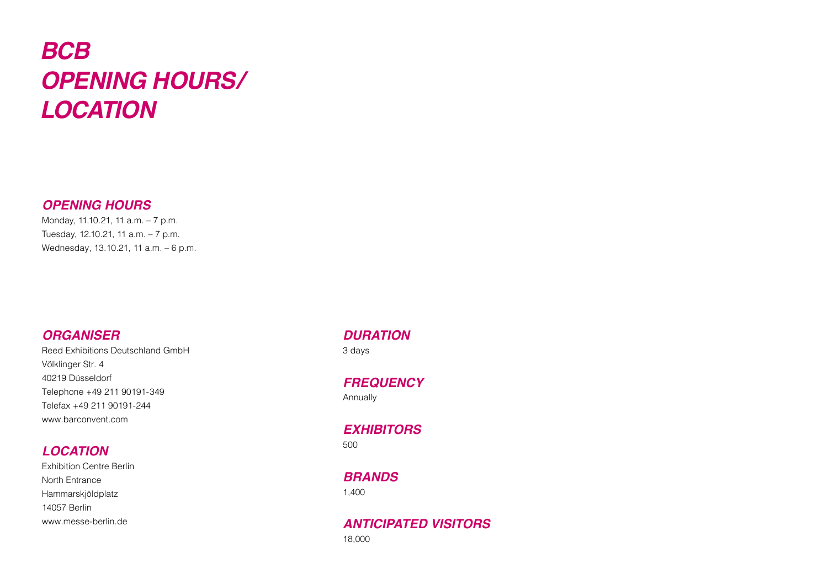# *BCB OPENING HOURS/ LOCATION*

### *OPENING HOURS*

Monday, 11.10.21, 11 a.m. – 7 p.m. Tuesday, 12.10.21, 11 a.m. – 7 p.m. Wednesday, 13.10.21, 11 a.m. – 6 p.m.

### *ORGANISER*

Reed Exhibitions Deutschland GmbH Völklinger Str. 4 40219 Düsseldorf Telephone +49 211 90191-349 Telefax +49 211 90191-244 [www.barconvent.com](https://www.barconvent.com/en/)

# *LOCATION*

Exhibition Centre Berlin North Entrance Hammarskjöldplatz 14057 Berlin [www.messe-berlin.de](https://www.messe-berlin.de/en/)

# *DURATION*

3 days

*FREQUENCY* Annually

*EXHIBITORS* 500

*BRANDS* 1,400

*ANTICIPATED VISITORS* 18,000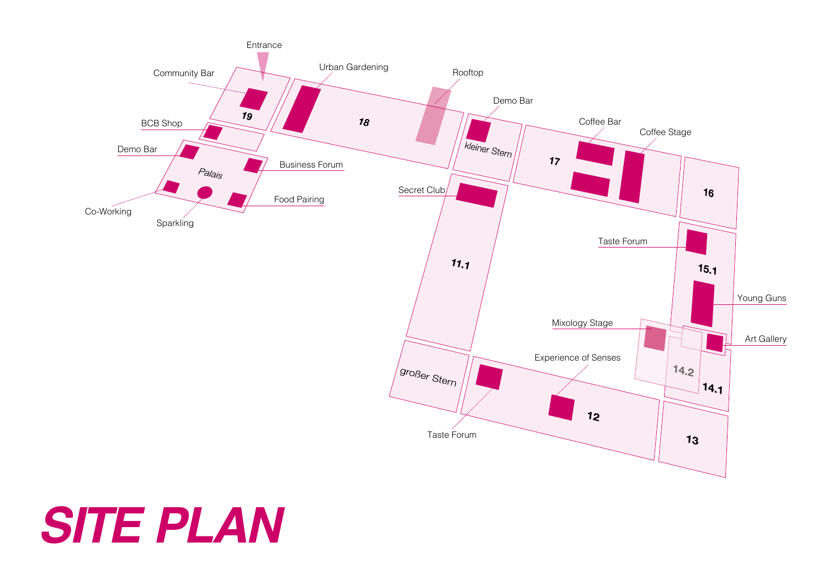

# *SITE PLAN*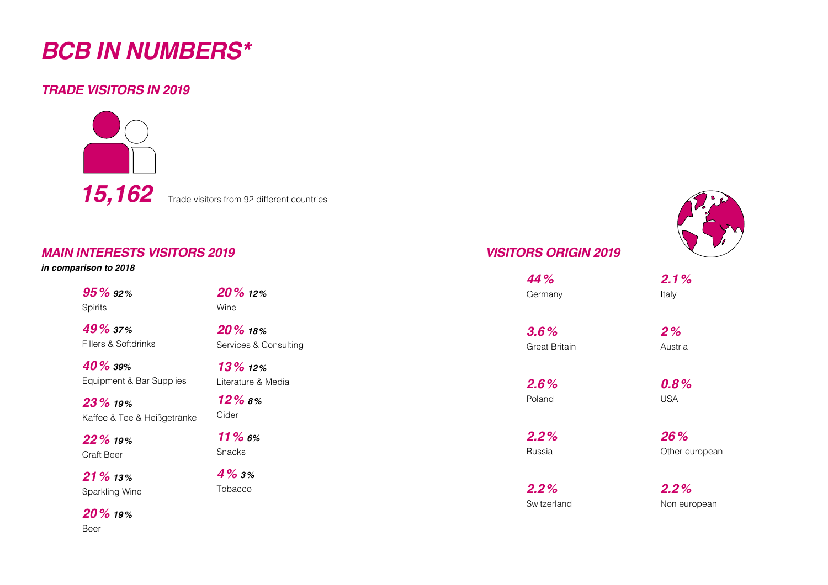# *BCB IN NUMBERS\**

### *TRADE VISITORS IN 2019*





#### *in comparison to 2018*

| 95 % 92 |  |
|---------|--|
| Spirits |  |

*49% 37%* Fillers & Soft

*40% 39%* Equipment &

*23% 19%* Kaffee & Tee

*22% 19%* Craft Beer

*21% 13%* Sparkling W

*20% 19%* Beer



# *VISITORS ORIGIN 2019*

|                               |                                               | 44%                          | 2.1%                  |
|-------------------------------|-----------------------------------------------|------------------------------|-----------------------|
| 2%                            | 20% 12%<br>Wine                               | Germany                      | Italy                 |
| 7%<br>oftdrinks               | 20 % 18%<br>Services & Consulting             | 3.6%<br><b>Great Britain</b> | 2%<br>Austria         |
| 1%<br>t & Bar Supplies<br>d % | $13\%$ 12%<br>Literature & Media<br>$12\%$ 8% | 2.6%<br>Poland               | 0.8%<br><b>USA</b>    |
| Tee & Heißgetränke            | Cider                                         |                              |                       |
| 2%                            | $11\%$ 6%<br>Snacks                           | 2.2%<br>Russia               | 26%<br>Other european |
| 3%<br>Wine                    | $4\%3\%$<br>Tobacco                           | 2.2%<br>Switzerland          | 2.2%<br>Non european  |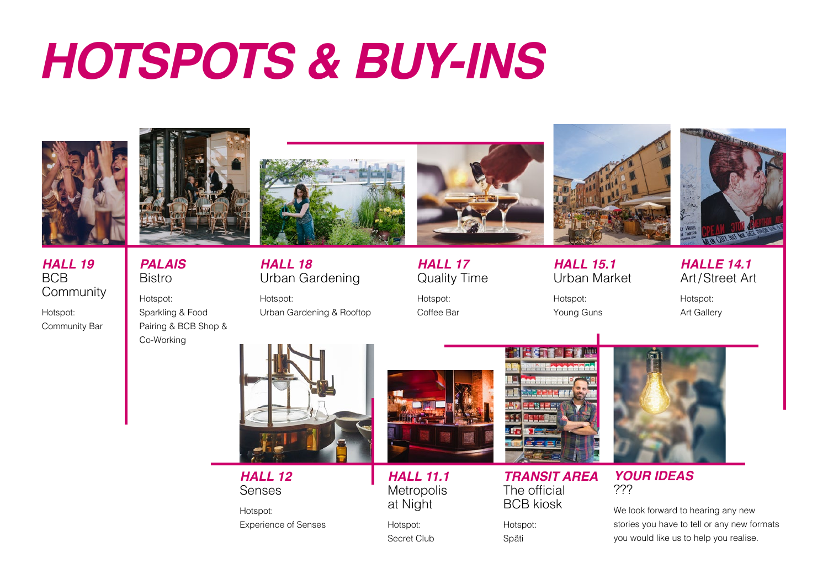# *HOTSPOTS & BUY-INS*



*HALL 19* **Community** 

Hotspot: Community Bar

BCB

*PALAIS* Bistro Hotspot: Sparkling & Food Pairing & BCB Shop &

Co-Working



*HALL 18* Urban Gardening

Hotspot: Urban Gardening & Rooftop



*HALL 17* Quality Time

Hotspot: Coffee Bar



*HALL 15.1* Urban Market

Hotspot: Young Guns

*HALLE 14.1* Art/Street Art Hotspot:

Art Gallery



*HALL 12* Senses

Hotspot: Experience of Senses



*HALL 11.1* **Metropolis** at Night

Hotspot: Secret Club



*TRANSIT AREA* The official BCB kiosk

Hotspot: Späti



*YOUR IDEAS* ???

We look forward to hearing any new stories you have to tell or any new formats you would like us to help you realise.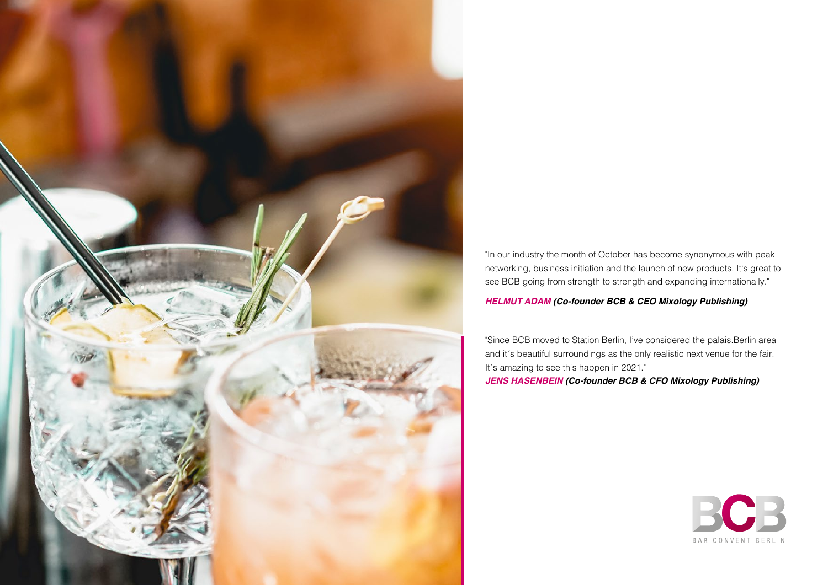

"In our industry the month of October has become synonymous with peak networking, business initiation and the launch of new products. It's great to see BCB going from strength to strength and expanding internationally."

#### *HELMUT ADAM (Co-founder BCB & CEO Mixology Publishing)*

"Since BCB moved to Station Berlin, I've considered the palais.Berlin area and it´s beautiful surroundings as the only realistic next venue for the fair. It's amazing to see this happen in 2021."

*JENS HASENBEIN (Co-founder BCB & CFO Mixology Publishing)*

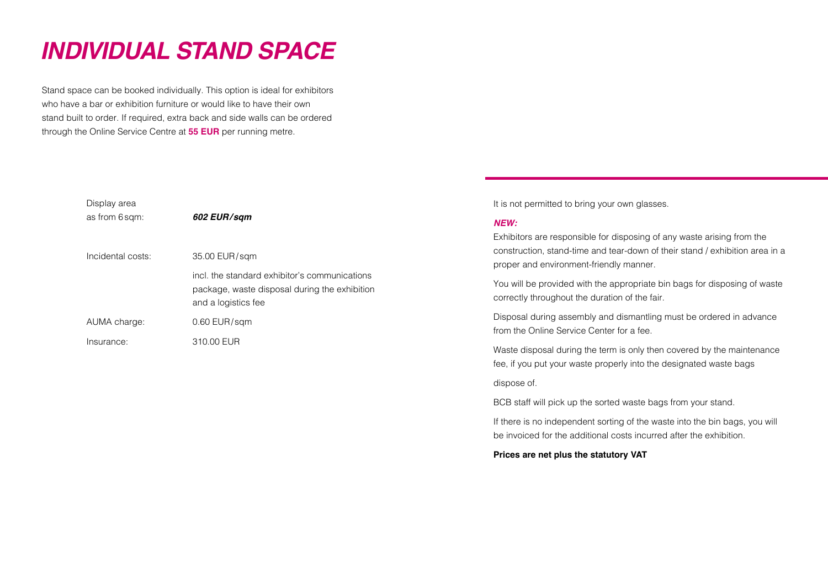# *INDIVIDUAL STAND SPACE*

Stand space can be booked individually. This option is ideal for exhibitors who have a bar or exhibition furniture or would like to have their own stand built to order. If required, extra back and side walls can be ordered through the Online Service Centre at **55 EUR** per running metre.

| Display area<br>as from 6 sqm: | 602 EUR/sqm                                                                                                           |
|--------------------------------|-----------------------------------------------------------------------------------------------------------------------|
| Incidental costs:              | 35.00 EUR/sgm                                                                                                         |
|                                | incl. the standard exhibitor's communications<br>package, waste disposal during the exhibition<br>and a logistics fee |
| AUMA charge:                   | $0.60$ EUR/sqm                                                                                                        |
| Insurance:                     | 310.00 EUR                                                                                                            |

It is not permitted to bring your own glasses.

#### *NEW:*

Exhibitors are responsible for disposing of any waste arising from the construction, stand-time and tear-down of their stand / exhibition area in a proper and environment-friendly manner.

You will be provided with the appropriate bin bags for disposing of waste correctly throughout the duration of the fair.

Disposal during assembly and dismantling must be ordered in advance from the Online Service Center for a fee.

Waste disposal during the term is only then covered by the maintenance fee, if you put your waste properly into the designated waste bags

dispose of.

BCB staff will pick up the sorted waste bags from your stand.

If there is no independent sorting of the waste into the bin bags, you will be invoiced for the additional costs incurred after the exhibition.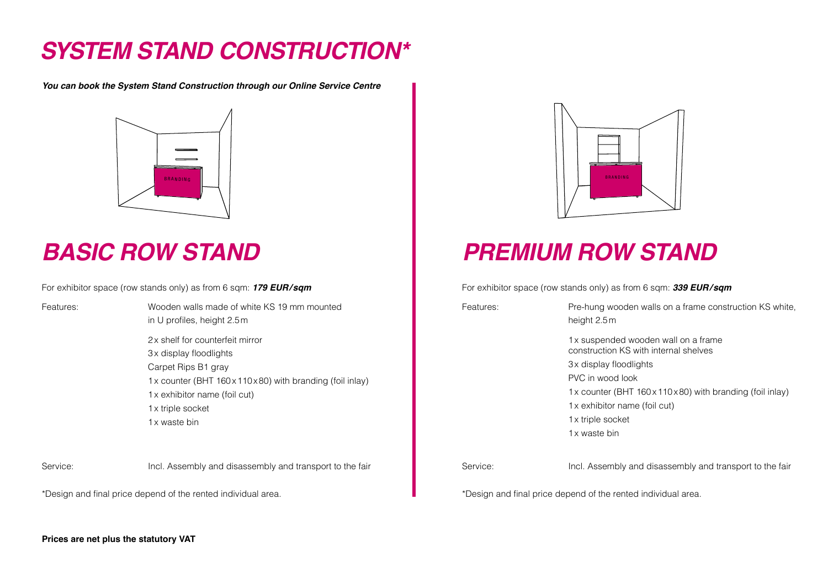# *SYSTEM STAND CONSTRUCTION\**

*You can book the System Stand Construction through our Online Service Centre*



# *BASIC ROW STAND*

For exhibitor space (row stands only) as from 6 sqm: *179 EUR/sqm*

Features: Wooden walls made of white KS 19 mm mounted in U profiles, height 2.5m

> 2x shelf for counterfeit mirror 3x display floodlights Carpet Rips B1 gray 1x counter (BHT 160x110x80) with branding (foil inlay) 1x exhibitor name (foil cut) 1x triple socket 1x waste bin

Service: Incl. Assembly and disassembly and transport to the fair

\*Design and final price depend of the rented individual area.



# *PREMIUM ROW STAND*

For exhibitor space (row stands only) as from 6 sqm: *339 EUR/sqm*

Features: Pre-hung wooden walls on a frame construction KS white, height 2.5m

> 1x suspended wooden wall on a frame construction KS with internal shelves

3x display floodlights

PVC in wood look

1x counter (BHT 160x110x80) with branding (foil inlay)

1x exhibitor name (foil cut)

1x triple socket

1x waste bin

Service: Incl. Assembly and disassembly and transport to the fair

\*Design and final price depend of the rented individual area.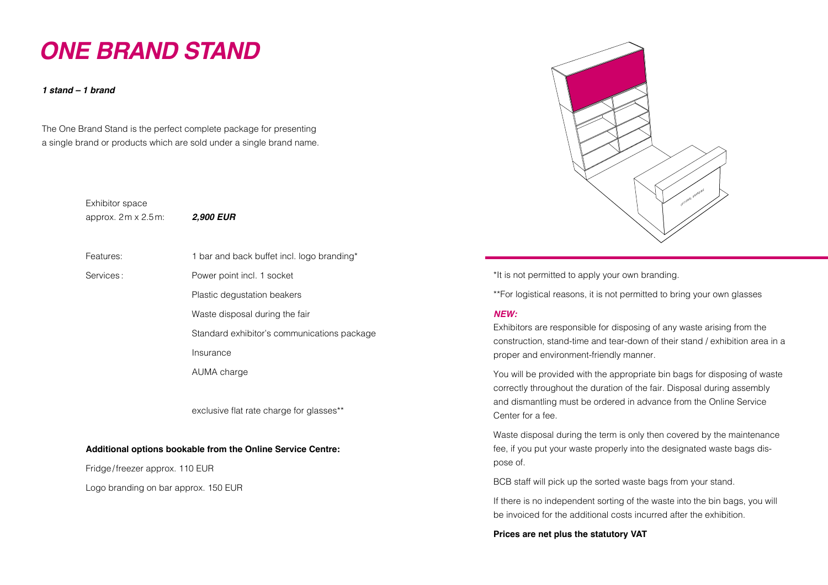# *ONE BRAND STAND*

*1 stand – 1 brand*

The One Brand Stand is the perfect complete package for presenting a single brand or products which are sold under a single brand name.

> Exhibitor space approx. 2m x 2.5m: *2,900 EUR*

Features: 1 bar and back buffet incl. logo branding\*

Services : Power point incl. 1 socket

Plastic degustation beakers

Waste disposal during the fair

Standard exhibitor's communications package

Insurance

AUMA charge

exclusive flat rate charge for glasses\*\*

#### **Additional options bookable from the Online Service Centre:**

Fridge/freezer approx. 110 EUR

Logo branding on bar approx. 150 EUR



\*It is not permitted to apply your own branding.

\*\*For logistical reasons, it is not permitted to bring your own glasses

#### *NEW:*

Exhibitors are responsible for disposing of any waste arising from the construction, stand-time and tear-down of their stand / exhibition area in a proper and environment-friendly manner.

You will be provided with the appropriate bin bags for disposing of waste correctly throughout the duration of the fair. Disposal during assembly and dismantling must be ordered in advance from the Online Service Center for a fee.

Waste disposal during the term is only then covered by the maintenance fee, if you put your waste properly into the designated waste bags dispose of.

BCB staff will pick up the sorted waste bags from your stand.

If there is no independent sorting of the waste into the bin bags, you will be invoiced for the additional costs incurred after the exhibition.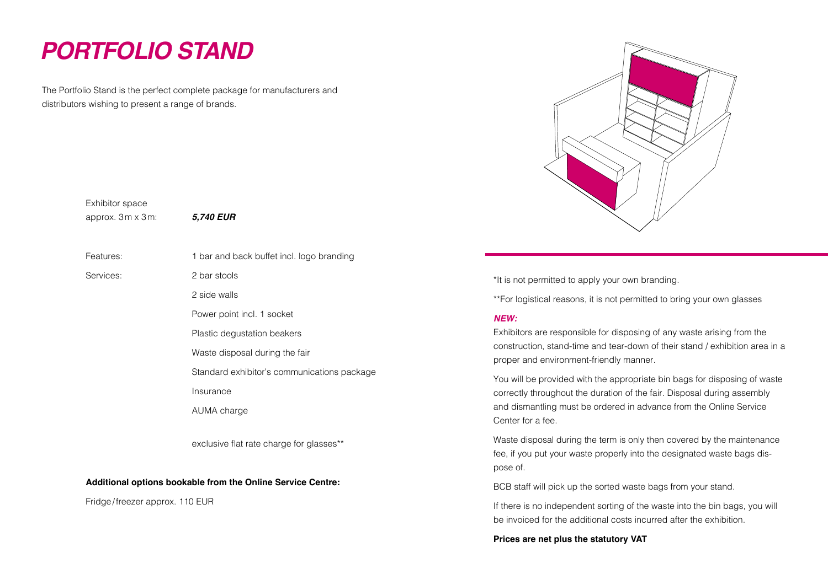# *PORTFOLIO STAND*

The Portfolio Stand is the perfect complete package for manufacturers and distributors wishing to present a range of brands.



\*It is not permitted to apply your own branding.

\*\*For logistical reasons, it is not permitted to bring your own glasses

#### *NEW:*

Exhibitors are responsible for disposing of any waste arising from the construction, stand-time and tear-down of their stand / exhibition area in a proper and environment-friendly manner.

You will be provided with the appropriate bin bags for disposing of waste correctly throughout the duration of the fair. Disposal during assembly and dismantling must be ordered in advance from the Online Service Center for a fee.

Waste disposal during the term is only then covered by the maintenance fee, if you put your waste properly into the designated waste bags dispose of.

BCB staff will pick up the sorted waste bags from your stand.

If there is no independent sorting of the waste into the bin bags, you will be invoiced for the additional costs incurred after the exhibition.

**Prices are net plus the statutory VAT**

Exhibitor space approx. 3m x 3m: *5,740 EUR*

| Features: | 1 bar and back buffet incl. logo branding   |
|-----------|---------------------------------------------|
| Services: | 2 bar stools                                |
|           | 2 side walls                                |
|           | Power point incl. 1 socket                  |
|           | Plastic degustation beakers                 |
|           | Waste disposal during the fair              |
|           | Standard exhibitor's communications package |
|           | Insurance                                   |
|           | AUMA charge                                 |
|           |                                             |

exclusive flat rate charge for glasses\*\*

#### **Additional options bookable from the Online Service Centre:**

Fridge/freezer approx. 110 EUR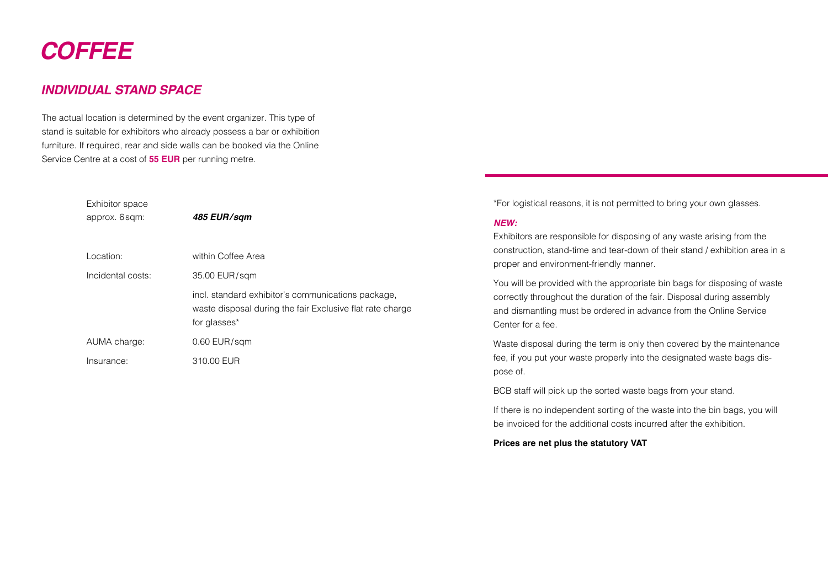# *COFFEE*

### *INDIVIDUAL STAND SPACE*

The actual location is determined by the event organizer. This type of stand is suitable for exhibitors who already possess a bar or exhibition furniture. If required, rear and side walls can be booked via the Online Service Centre at a cost of **55 EUR** per running metre.

| Exhibitor space<br>approx. 6sqm: | 485 EUR/sam                                                                                                                     |
|----------------------------------|---------------------------------------------------------------------------------------------------------------------------------|
| Location:                        | within Coffee Area                                                                                                              |
| Incidental costs:                | 35.00 EUR/sgm                                                                                                                   |
|                                  | incl. standard exhibitor's communications package,<br>waste disposal during the fair Exclusive flat rate charge<br>for glasses* |
| AUMA charge:                     | $0.60$ EUR/sqm                                                                                                                  |
| Insurance:                       | 310.00 EUR                                                                                                                      |

\*For logistical reasons, it is not permitted to bring your own glasses.

#### *NEW:*

Exhibitors are responsible for disposing of any waste arising from the construction, stand-time and tear-down of their stand / exhibition area in a proper and environment-friendly manner.

You will be provided with the appropriate bin bags for disposing of waste correctly throughout the duration of the fair. Disposal during assembly and dismantling must be ordered in advance from the Online Service Center for a fee.

Waste disposal during the term is only then covered by the maintenance fee, if you put your waste properly into the designated waste bags dispose of.

BCB staff will pick up the sorted waste bags from your stand.

If there is no independent sorting of the waste into the bin bags, you will be invoiced for the additional costs incurred after the exhibition.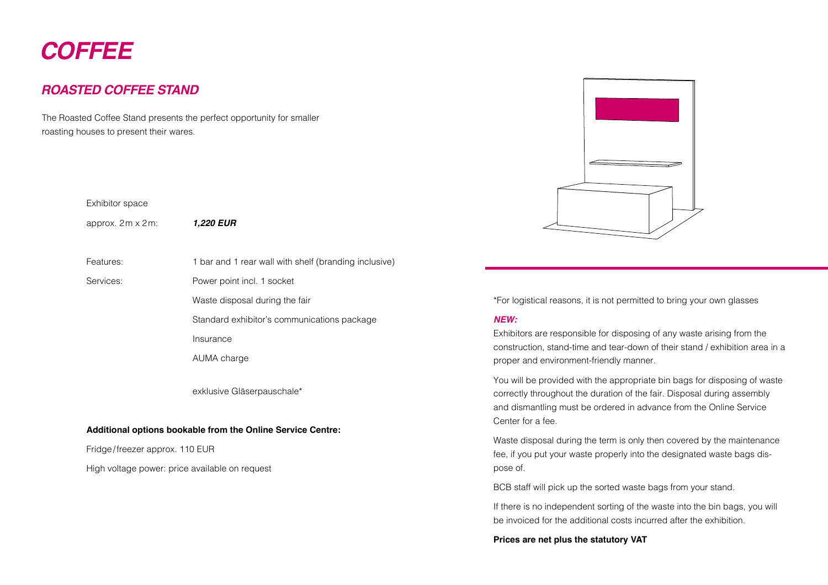# *COFFEE*

## *ROASTED COFFEE STAND*

The Roasted Coffee Stand presents the perfect opportunity for smaller roasting houses to present their wares.

#### Exhibitor space

approx. 2m x 2m: *1,220 EUR*

Features: 1 bar and 1 rear wall with shelf (branding inclusive)

Services: Power point incl. 1 socket

Waste disposal during the fair

Standard exhibitor's communications package

Insurance

AUMA charge

exklusive Gläserpauschale\*

#### **Additional options bookable from the Online Service Centre:**

Fridge/freezer approx. 110 EUR

High voltage power: price available on request



\*For logistical reasons, it is not permitted to bring your own glasses

#### *NEW:*

Exhibitors are responsible for disposing of any waste arising from the construction, stand-time and tear-down of their stand / exhibition area in a proper and environment-friendly manner.

You will be provided with the appropriate bin bags for disposing of waste correctly throughout the duration of the fair. Disposal during assembly and dismantling must be ordered in advance from the Online Service Center for a fee.

Waste disposal during the term is only then covered by the maintenance fee, if you put your waste properly into the designated waste bags dispose of.

BCB staff will pick up the sorted waste bags from your stand.

If there is no independent sorting of the waste into the bin bags, you will be invoiced for the additional costs incurred after the exhibition.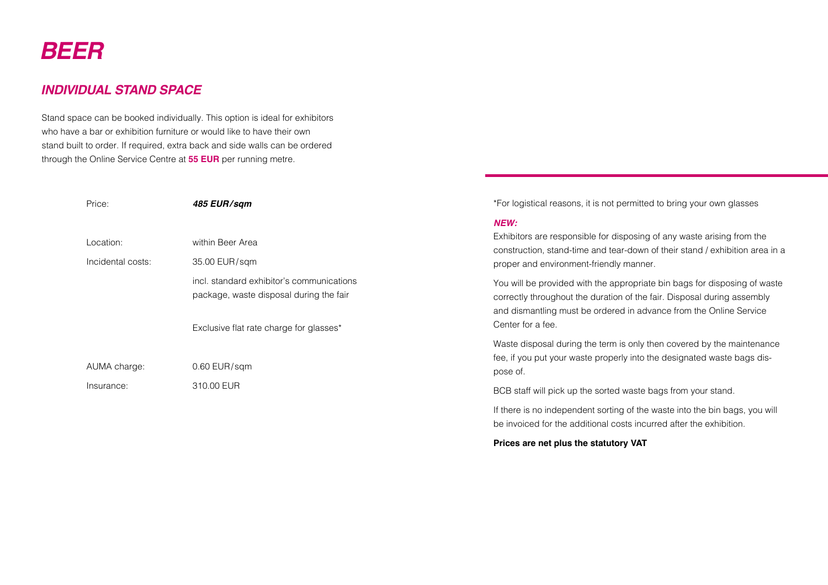# *BEER*

## *INDIVIDUAL STAND SPACE*

Stand space can be booked individually. This option is ideal for exhibitors who have a bar or exhibition furniture or would like to have their own stand built to order. If required, extra back and side walls can be ordered through the Online Service Centre at **55 EUR** per running metre.

| Price:            | 485 EUR/sam                                                                          | *For logistical reasons, it is n                                                                                   |
|-------------------|--------------------------------------------------------------------------------------|--------------------------------------------------------------------------------------------------------------------|
|                   |                                                                                      | NEW:                                                                                                               |
| Location:         | within Beer Area                                                                     | Exhibitors are responsible fo                                                                                      |
| Incidental costs: | 35.00 EUR/sqm                                                                        | construction, stand-time and<br>proper and environment-frier                                                       |
|                   | incl. standard exhibitor's communications<br>package, waste disposal during the fair | You will be provided with the<br>correctly throughout the dura<br>and dismantling must be ord<br>Center for a fee. |
|                   | Exclusive flat rate charge for glasses*                                              | Waste disposal during the te                                                                                       |
| AUMA charge:      | $0.60$ EUR/sqm                                                                       | fee, if you put your waste pro<br>pose of.                                                                         |
| Insurance:        | 310.00 EUR                                                                           | BCB staff will pick up the sor                                                                                     |

not permitted to bring your own glasses

or disposing of any waste arising from the tear-down of their stand / exhibition area in a ndly manner.

appropriate bin bags for disposing of waste ation of the fair. Disposal during assembly dered in advance from the Online Service

erm is only then covered by the maintenance operly into the designated waste bags dis-

Ifted waste bags from your stand.

If there is no independent sorting of the waste into the bin bags, you will be invoiced for the additional costs incurred after the exhibition.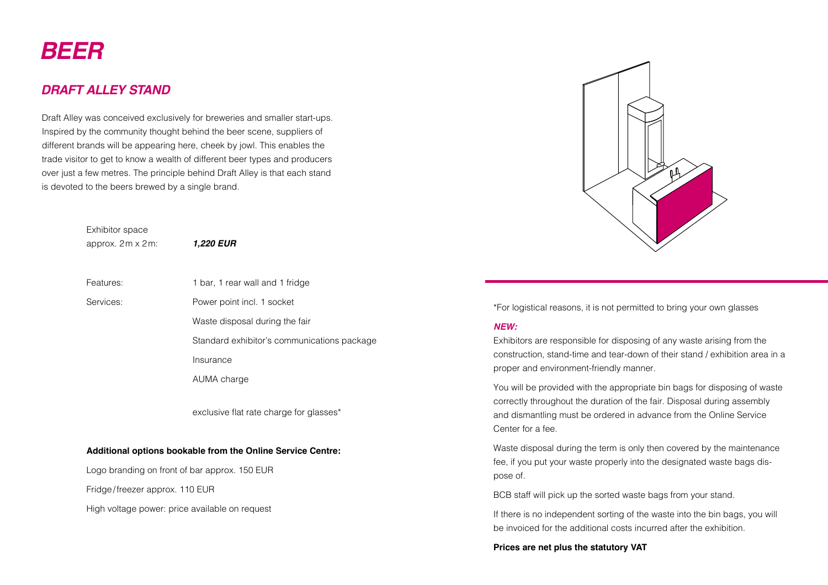# *BEER*

## *DRAFT ALLEY STAND*

Draft Alley was conceived exclusively for breweries and smaller start-ups. Inspired by the community thought behind the beer scene, suppliers of different brands will be appearing here, cheek by jowl. This enables the trade visitor to get to know a wealth of different beer types and producers over just a few metres. The principle behind Draft Alley is that each stand is devoted to the beers brewed by a single brand.

> Exhibitor space approx. 2m x 2m: *1,220 EUR*

- Features: 1 bar, 1 rear wall and 1 fridge
- Services: Power point incl. 1 socket
	- Waste disposal during the fair
	- Standard exhibitor's communications package
	- Insurance
	- AUMA charge

exclusive flat rate charge for glasses\*

#### **Additional options bookable from the Online Service Centre:**

Logo branding on front of bar approx. 150 EUR

Fridge/freezer approx. 110 EUR

High voltage power: price available on request



\*For logistical reasons, it is not permitted to bring your own glasses

#### *NEW:*

Exhibitors are responsible for disposing of any waste arising from the construction, stand-time and tear-down of their stand / exhibition area in a proper and environment-friendly manner.

You will be provided with the appropriate bin bags for disposing of waste correctly throughout the duration of the fair. Disposal during assembly and dismantling must be ordered in advance from the Online Service Center for a fee.

Waste disposal during the term is only then covered by the maintenance fee, if you put your waste properly into the designated waste bags dispose of.

BCB staff will pick up the sorted waste bags from your stand.

If there is no independent sorting of the waste into the bin bags, you will be invoiced for the additional costs incurred after the exhibition.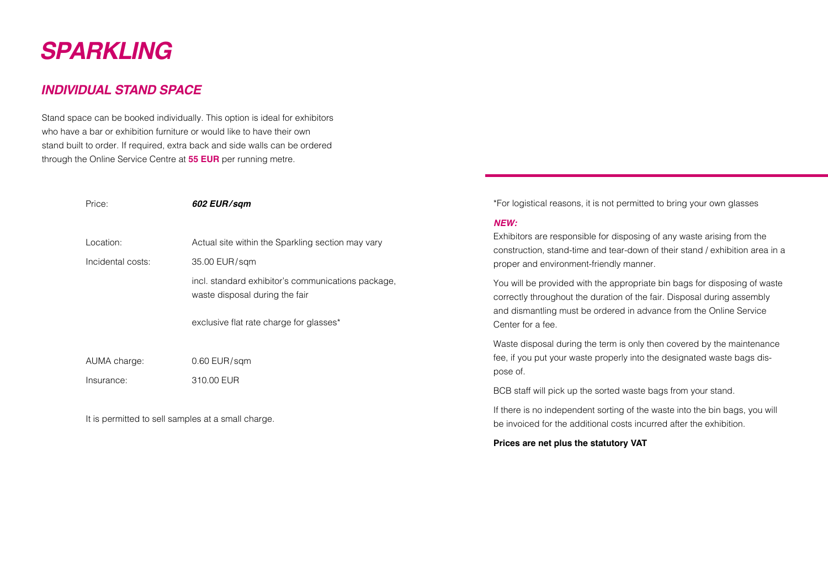# *SPARKLING*

## *INDIVIDUAL STAND SPACE*

Stand space can be booked individually. This option is ideal for exhibitors who have a bar or exhibition furniture or would like to have their own stand built to order. If required, extra back and side walls can be ordered through the Online Service Centre at **55 EUR** per running metre.

| Price:            | 602 EUR/sqm                                                                          |
|-------------------|--------------------------------------------------------------------------------------|
| Location:         | Actual site within the Sparkling section may vary                                    |
| Incidental costs: | 35.00 EUR/sqm                                                                        |
|                   | incl. standard exhibitor's communications package,<br>waste disposal during the fair |
|                   | exclusive flat rate charge for glasses*                                              |
| AUMA charge:      | $0.60$ EUR/sqm                                                                       |
| Insurance:        | 310.00 EUR                                                                           |
|                   |                                                                                      |

It is permitted to sell samples at a small charge.

\*For logistical reasons, it is not permitted to bring your own glasses

#### *NEW:*

Exhibitors are responsible for disposing of any waste arising from the construction, stand-time and tear-down of their stand / exhibition area in a proper and environment-friendly manner.

You will be provided with the appropriate bin bags for disposing of waste correctly throughout the duration of the fair. Disposal during assembly and dismantling must be ordered in advance from the Online Service Center for a fee.

Waste disposal during the term is only then covered by the maintenance fee, if you put your waste properly into the designated waste bags dispose of.

BCB staff will pick up the sorted waste bags from your stand.

If there is no independent sorting of the waste into the bin bags, you will be invoiced for the additional costs incurred after the exhibition.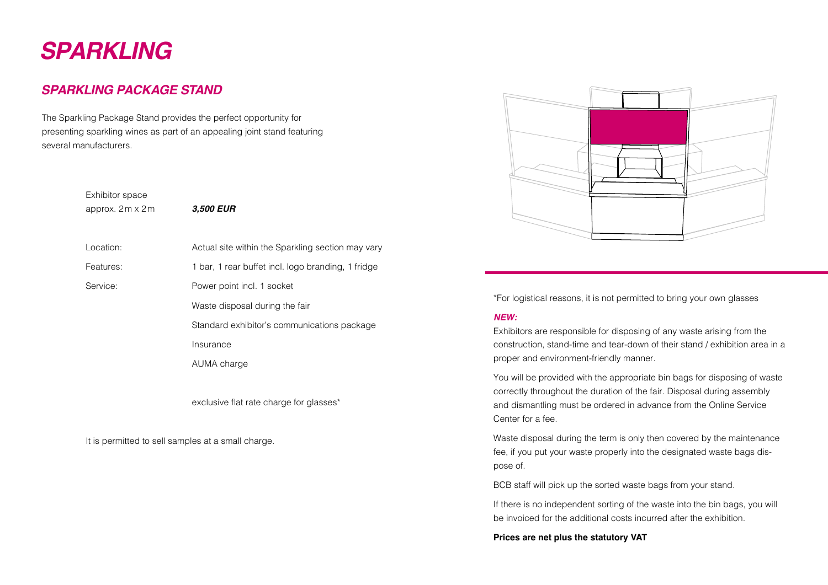# *SPARKLING*

## *SPARKLING PACKAGE STAND*

The Sparkling Package Stand provides the perfect opportunity for presenting sparkling wines as part of an appealing joint stand featuring several manufacturers.

# Exhibitor space approx. 2m x 2m *3,500 EUR* Location: **Actual site within the Sparkling section may vary** Features: 1 bar, 1 rear buffet incl. logo branding, 1 fridge Service: Power point incl. 1 socket Waste disposal during the fair Standard exhibitor's communications package Insurance AUMA charge

exclusive flat rate charge for glasses\*

It is permitted to sell samples at a small charge.



\*For logistical reasons, it is not permitted to bring your own glasses

#### *NEW:*

Exhibitors are responsible for disposing of any waste arising from the construction, stand-time and tear-down of their stand / exhibition area in a proper and environment-friendly manner.

You will be provided with the appropriate bin bags for disposing of waste correctly throughout the duration of the fair. Disposal during assembly and dismantling must be ordered in advance from the Online Service Center for a fee.

Waste disposal during the term is only then covered by the maintenance fee, if you put your waste properly into the designated waste bags dispose of.

BCB staff will pick up the sorted waste bags from your stand.

If there is no independent sorting of the waste into the bin bags, you will be invoiced for the additional costs incurred after the exhibition.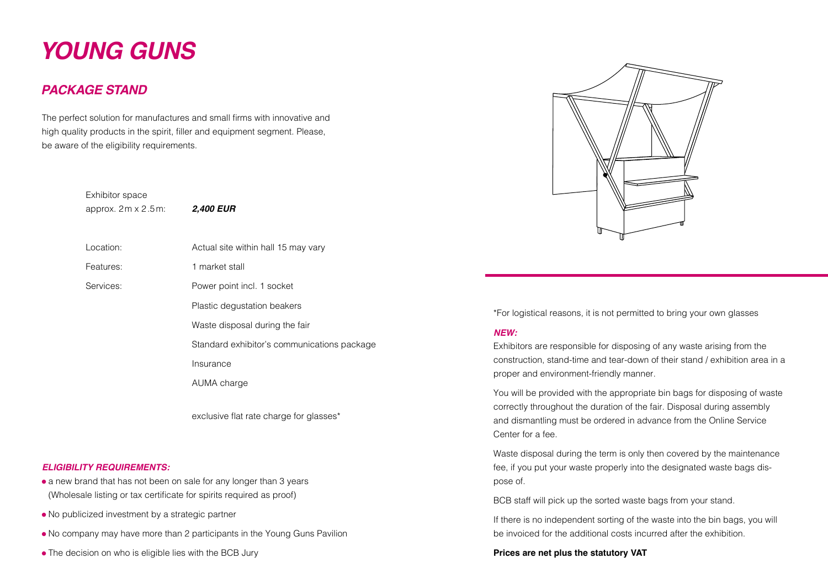# *YOUNG GUNS*

### *PACKAGE STAND*

The perfect solution for manufactures and small firms with innovative and high quality products in the spirit, filler and equipment segment. Please, be aware of the eligibility requirements.

> Exhibitor space approx. 2m x 2.5m: *2,400 EUR*

- Location: Actual site within hall 15 may vary
- Features: 1 market stall

Services: Power point incl. 1 socket

Plastic degustation beakers

Waste disposal during the fair

Standard exhibitor's communications package

Insurance

AUMA charge

exclusive flat rate charge for glasses\*

#### *ELIGIBILITY REQUIREMENTS:*

- a new brand that has not been on sale for any longer than 3 years (Wholesale listing or tax certificate for spirits required as proof)
- No publicized investment by a strategic partner
- No company may have more than 2 participants in the Young Guns Pavilion
- The decision on who is eligible lies with the BCB Jury



\*For logistical reasons, it is not permitted to bring your own glasses

#### *NEW:*

Exhibitors are responsible for disposing of any waste arising from the construction, stand-time and tear-down of their stand / exhibition area in a proper and environment-friendly manner.

You will be provided with the appropriate bin bags for disposing of waste correctly throughout the duration of the fair. Disposal during assembly and dismantling must be ordered in advance from the Online Service Center for a fee.

Waste disposal during the term is only then covered by the maintenance fee, if you put your waste properly into the designated waste bags dispose of.

BCB staff will pick up the sorted waste bags from your stand.

If there is no independent sorting of the waste into the bin bags, you will be invoiced for the additional costs incurred after the exhibition.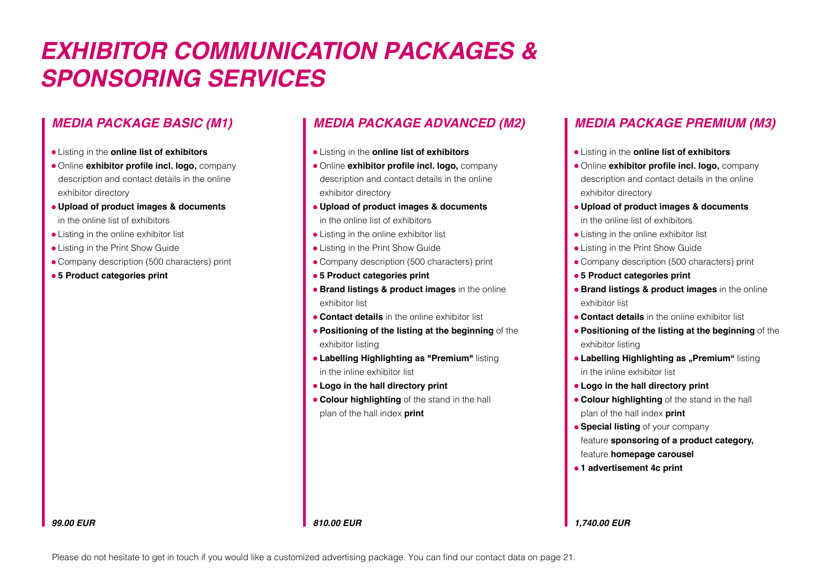# *EXHIBITOR COMMUNICATION PACKAGES & SPONSORING SERVICES*

### *MEDIA PACKAGE BASIC (M1)*

- Listing in the **online list of exhibitors**
- Online **exhibitor profile incl. logo,** company description and contact details in the online exhibitor directory
- **Upload of product images & documents** in the online list of exhibitors
- Listing in the online exhibitor list
- Listing in the Print Show Guide
- Company description (500 characters) print
- **5 Product categories print**

## *MEDIA PACKAGE ADVANCED (M2)*

- Listing in the **online list of exhibitors**
- Online **exhibitor profile incl. logo,** company description and contact details in the online exhibitor directory
- **Upload of product images & documents** in the online list of exhibitors
- Listing in the online exhibitor list
- Listing in the Print Show Guide
- Company description (500 characters) print
- **5 Product categories print**
- **Brand listings & product images** in the online exhibitor list
- **Contact details** in the online exhibitor list
- **Positioning of the listing at the beginning** of the exhibitor listing
- **Labelling Highlighting as "Premium"** listing in the inline exhibitor list
- **Logo in the hall directory print**
- **Colour highlighting** of the stand in the hall plan of the hall index **print**

# *MEDIA PACKAGE PREMIUM (M3)*

- Listing in the **online list of exhibitors**
- Online **exhibitor profile incl. logo,** company description and contact details in the online exhibitor directory
- **Upload of product images & documents** in the online list of exhibitors
- Listing in the online exhibitor list
- Listing in the Print Show Guide
- Company description (500 characters) print
- **5 Product categories print**
- **Brand listings & product images** in the online exhibitor list
- **Contact details** in the online exhibitor list
- **Positioning of the listing at the beginning** of the exhibitor listing
- **Labelling Highlighting as "Premium"** listing in the inline exhibitor list
- **Logo in the hall directory print**
- **Colour highlighting** of the stand in the hall plan of the hall index **print**
- **Special listing** of your company feature **sponsoring of a product category,** feature **homepage carousel**
- **1 advertisement 4c print**

*1,740.00 EUR*

#### *99.00 EUR*

Please do not hesitate to get in touch if you would like a customized advertising package. You can find our contact data on page 21.

*810.00 EUR*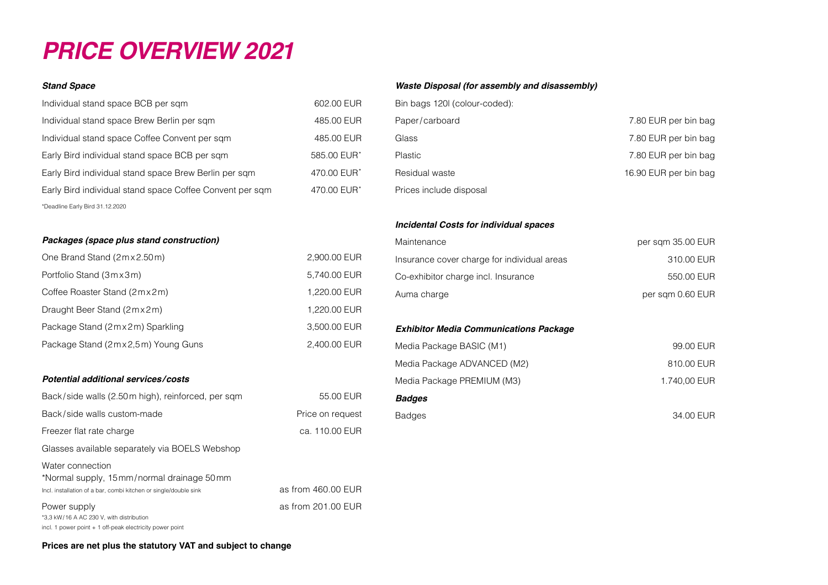# *PRICE OVERVIEW 2021*

#### *Stand Space*

| Individual stand space BCB per sqm                       |
|----------------------------------------------------------|
| Individual stand space Brew Berlin per sqm               |
| Individual stand space Coffee Convent per sqm            |
| Early Bird individual stand space BCB per sqm            |
| Early Bird individual stand space Brew Berlin per sqm    |
| Early Bird individual stand space Coffee Convent per sqm |
| *Deadline Early Bird 31.12.2020                          |

#### *Packages (space plus stand construction)*

| One Brand Stand (2mx2.50m)                                    | 2,900.00 EUR     |
|---------------------------------------------------------------|------------------|
| Portfolio Stand (3mx3m)                                       | 5,740.00 EUR     |
| Coffee Roaster Stand (2mx2m)                                  | 1,220.00 EUR     |
| Draught Beer Stand (2mx2m)                                    | 1,220.00 EUR     |
| Package Stand (2mx2m) Sparkling                               | 3,500.00 EUR     |
| Package Stand (2mx2,5m) Young Guns                            | 2,400.00 EUR     |
|                                                               |                  |
| Potential additional services/costs                           |                  |
| Back/side walls (2.50 m high), reinforced, per sqm            | 55.00 EUR        |
| Back/side walls custom-made                                   | Price on request |
| Freezer flat rate charge                                      | ca. 110.00 EUR   |
| Glasses available separately via BOELS Webshop                |                  |
| Water connection<br>*Normal supply, 15mm/normal drainage 50mm |                  |

Incl. installation of a bar, combi kitchen or single/double sink as from 460.00 EUR Power supply **be a set of the contract of the set of the set of the contract of the set of the set of the set of the set of the set of the set of the set of the set of the set of the set of the set of the set of the set of** 

#### *Waste Disposal (for assembly and disassembly)*

| Bin bags 120I (colour-coded): |                       |
|-------------------------------|-----------------------|
| Paper/carboard                | 7.80 EUR per bin bag  |
| Glass                         | 7.80 EUR per bin bag  |
| <b>Plastic</b>                | 7.80 EUR per bin bag  |
| Residual waste                | 16.90 EUR per bin bag |
| Prices include disposal       |                       |

#### *Incidental Costs for individual spaces*

602.00 EUR 485.00 EUR 485.00 EUR  $585.00$  FUR\*  $470.00$  EUR\* 470.00 EUR\*

| Maintenance                                   | per sam 35.00 EUR |
|-----------------------------------------------|-------------------|
| Insurance cover charge for individual areas   | 310.00 EUR        |
| Co-exhibitor charge incl. Insurance           | 550.00 EUR        |
| Auma charge                                   | per sqm 0.60 EUR  |
|                                               |                   |
| <b>Exhibitor Media Communications Package</b> |                   |
| Media Package BASIC (M1)                      | 99.00 EUR         |
| Media Package ADVANCED (M2)                   | 810.00 EUR        |
| Media Package PREMIUM (M3)                    | 1.740,00 EUR      |
| <b>Badges</b>                                 |                   |
| <b>Badges</b>                                 | 34.00 EUR         |
|                                               |                   |

**Prices are net plus the statutory VAT and subject to change**

\*3,3 kW/16 A AC 230 V, with distribution

incl. 1 power point + 1 off-peak electricity power point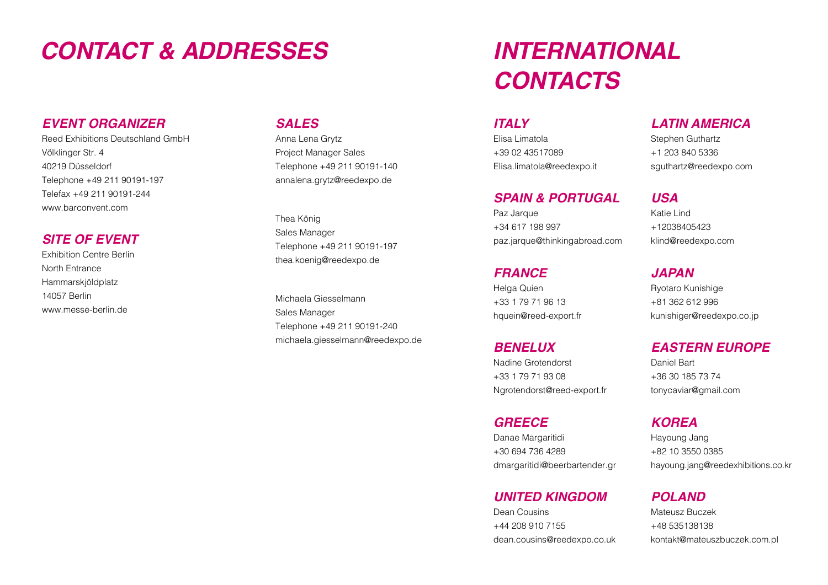# *CONTACT & ADDRESSES INTERNATIONAL*

### *EVENT ORGANIZER*

Reed Exhibitions Deutschland GmbH Völklinger Str. 4 40219 Düsseldorf Telephone +49 211 90191-197 Telefax +49 211 90191-244 [www.barconvent.com](https://www.barconvent.com/en/)

### *SITE OF EVENT*

Exhibition Centre Berlin North Entrance Hammarskjöldplatz 14057 Berlin [www.messe-berlin.de](https://www.messe-berlin.de/en/)

### *SALES*

Anna Lena Grytz Project Manager Sales Telephone +49 211 90191-140 [annalena.grytz@reedexpo.de](mailto:annalena.grytz%40reedexpo.de?subject=)

Thea König Sales Manager Telephone +49 211 90191-197 [thea.koenig@reedexpo.de](mailto:thea.koenig%40reedexpo.de?subject=)

Michaela Giesselmann Sales Manager Telephone +49 211 90191-240 [michaela.giesselmann@reedexpo.de](mailto:michaela.giesselmann%40reedexpo.de?subject=)

# *CONTACTS*

### *ITALY*

Elisa Limatola +39 02 43517089 [Elisa.limatola@reedexpo.it](mailto:Elisa.limatola%40reedexpo.it%20?subject=) 

### *SPAIN & PORTUGAL*

Paz Jarque +34 617 198 997 [paz.jarque@thinkingabroad.com](mailto:paz.jarque%40thinkingabroad.com?subject=)

### *FRANCE*

Helga Quien +33 1 79 71 96 13 [hquein@reed-export.fr](mailto:hquein%40reed-export.fr?subject=)

### *BENELUX*

Nadine Grotendorst +33 1 79 71 93 08 [Ngrotendorst@reed-export.fr](mailto:Ngrotendorst%40reed-export.fr?subject=)

### *GREECE*

Danae Margaritidi +30 694 736 4289 [dmargaritidi@beerbartender.gr](mailto:dmargaritidi%40beerbartender.gr?subject=)

### *UNITED KINGDOM*

Dean Cousins +44 208 910 7155 [dean.cousins@reedexpo.co.uk](mailto:dean.cousins%40reedexpo.co.uk?subject=)

# *LATIN AMERICA*

Stephen Guthartz +1 203 840 5336 [sguthartz@reedexpo.com](mailto:sguthartz%40reedexpo.com?subject=)

### *USA*

Katie Lind +12038405423 [klind@reedexpo.com](mailto:klind%40reedexpo.com%20?subject=) 

*JAPAN*

Ryotaro Kunishige +81 362 612 996 [kunishiger@reedexpo.co.jp](mailto:kunishiger%40reedexpo.co.jp?subject=)

### *EASTERN EUROPE*

Daniel Bart +36 30 185 73 74 [tonycaviar@gmail.com](mailto:tonycaviar%40gmail.com?subject=)

*KOREA* Hayoung Jang

+82 10 3550 0385 [hayoung.jang@reedexhibitions.co.kr](mailto:hayoung.jang%40reedexhibitions.co.kr?subject=)

### *POLAND*

Mateusz Buczek +48 535138138 [kontakt@mateuszbuczek.com.pl](mailto:kontakt%40mateuszbuczek.com.pl?subject=)